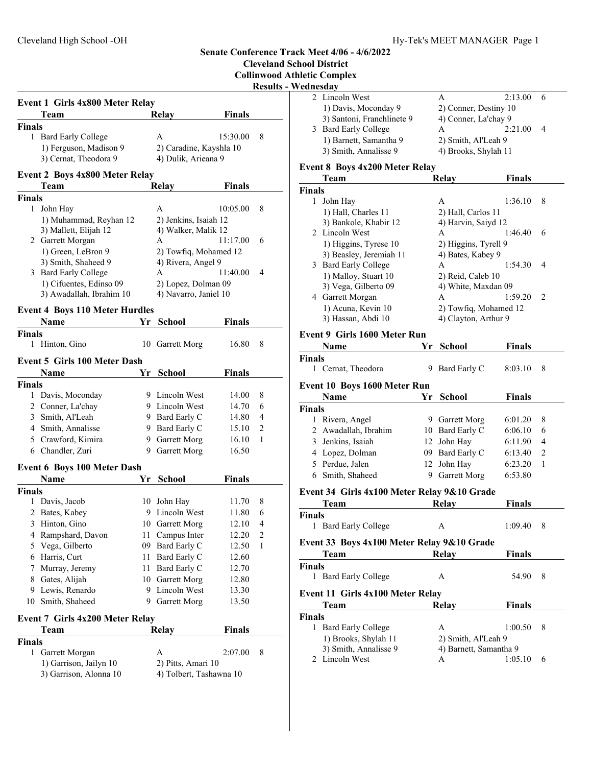**Finals**

3) Garrison, Alonna 10 4) Tolbert, Tashawna 10

## Cleveland High School -OH Hy-Tek's MEET MANAGER Page 1 **Senate Conference Track Meet 4/06 - 4/6/2022 Cleveland School District Collinwood Athletic Complex Results - Wednesday Event 1 Girls 4x800 Meter Relay** Team Relay Finals **Finals** 1 Bard Early College A 15:30.00 8 1) Ferguson, Madison 9 2) Caradine, Kayshla 10 3) Cernat, Theodora 9 4) Dulik, Arieana 9 **Event 2 Boys 4x800 Meter Relay** Team Relay Finals **Finals** 1 John Hay A 10:05.00 8 1) Muhammad, Reyhan 12 2) Jenkins, Isaiah 12 3) Mallett, Elijah 12 4) Walker, Malik 12 2 Garrett Morgan A 11:17.00 6 1) Green, LeBron 9 2) Towfiq, Mohamed 12 3) Smith, Shaheed 9 4) Rivera, Angel 9 3 Bard Early College A 11:40.00 4 1) Cifuentes, Edinso 09 2) Lopez, Dolman 09 3) Awadallah, Ibrahim 10 4) Navarro, Janiel 10 **Event 4 Boys 110 Meter Hurdles Name School Finals** 1 Hinton, Gino 10 Garrett Morg 16.80 8 **Event 5 Girls 100 Meter Dash Name Parameter <b>Property Property Property Property Property Property Property Property Property Property Property Property Property Property Property Property Property Property Prope Finals** 1 Davis, Moconday 9 Lincoln West 14.00 8 2 Conner, La'chay 9 Lincoln West 14.70 6 3 Smith, Al'Leah 9 Bard Early C 14.80 4 4 Smith, Annalisse 9 Bard Early C 15.10 2 5 Crawford, Kimira 9 Garrett Morg 16.10 1 6 Chandler, Zuri 9 Garrett Morg 16.50 **Event 6 Boys 100 Meter Dash Name Parameter <b>Property Property Property Property Property Property Property Property Property Property Property Property Property Property Property Property Property Property Prope Finals** 1 Davis, Jacob 10 John Hay 11.70 8 2 Bates, Kabey 9 Lincoln West 11.80 6 3 Hinton, Gino 10 Garrett Morg 12.10 4 4 Rampshard, Davon 11 Campus Inter 12.20 2 5 Vega, Gilberto 09 Bard Early C 12.50 1 6 12.60 Harris, Curt 11 Bard Early C 7 Murray, Jeremy 11 Bard Early C 12.70 8 Gates, Alijah 10 Garrett Morg 12.80 9 Lewis, Renardo 9 Lincoln West 13.30 10 Smith, Shaheed 9 Garrett Morg 13.50 **Event 7 Girls 4x200 Meter Relay** Team Relay Finals **Finals** 1 2:07.00 8 Garrett Morgan A 1) Garrison, Jailyn 10 2) Pitts, Amari 10 2 Lincoln West A 2:13.00 6 1) Davis, Moconday 9 2) Conner, Destiny 10 3) Santoni, Franchlinete 9 4) Conner, La'chay 9 3 Bard Early College A 2:21.00 4 1) Barnett, Samantha 9 2) Smith, Al'Leah 9 3) Smith, Annalisse 9 4) Brooks, Shylah 11 **Event 8 Boys 4x200 Meter Relay** Team Relay Finals **Finals** 1 John Hay A 1:36.10 8 1) Hall, Charles 11 2) Hall, Carlos 11 3) Bankole, Khabir 12 4) Harvin, Saiyd 12 2 Lincoln West A 1:46.40 6 1) Higgins, Tyrese 10 2) Higgins, Tyrell 9 3) Beasley, Jeremiah 11 4) Bates, Kabey 9 3 Bard Early College A 1:54.30 4 1) Malloy, Stuart 10 2) Reid, Caleb 10 3) Vega, Gilberto 09 4) White, Maxdan 09 4 1:59.20 2 Garrett Morgan A 1) Acuna, Kevin 10 2) Towfiq, Mohamed 12 3) Hassan, Abdi 10 4) Clayton, Arthur 9 **Event 9 Girls 1600 Meter Run Name Finals Property Property Property Property Property Property Property Property Property Property Property Property Property Property Property Property Property Property Propert Finals** 1 Cernat, Theodora 9 Bard Early C 8:03.10 8 **Event 10 Boys 1600 Meter Run Name Finals Property Property Property Property Property Property Property Property Property Property Property Property Property Property Property Property Property Property Propert Finals**<br>1 Rivera, Angel 9 Garrett Morg 6:01.20 8 2 Awadallah, Ibrahim 10 Bard Early C 6:06.10 6 3 6:11.90 4 Jenkins, Isaiah 12 John Hay 4 Lopez, Dolman 09 Bard Early C 6:13.40 2 5 Perdue, Jalen 12 John Hay 6:23.20 1 6 6:53.80 Smith, Shaheed 9 Garrett Morg **Event 34 Girls 4x100 Meter Relay 9&10 Grade** Team Relay Finals **Finals** 1 Bard Early College A 1:09.40 8 **Event 33 Boys 4x100 Meter Relay 9&10 Grade** Team Relay Finals **Finals** 1 Bard Early College A 54.90 8 **Event 11 Girls 4x100 Meter Relay** Team Relay Finals **Finals** 1 Bard Early College A 1:00.50 8 1) Brooks, Shylah 11 2) Smith, Al'Leah 9 3) Smith, Annalisse 9 4) Barnett, Samantha 9 2 Lincoln West A 1:05.10 6